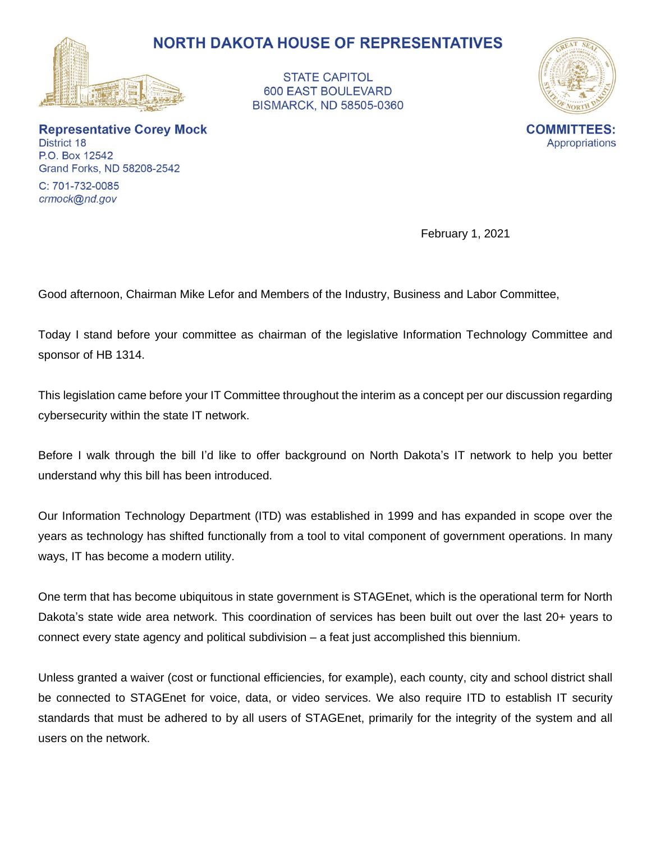



**Representative Corey Mock** District 18 P.O. Box 12542 Grand Forks, ND 58208-2542

C: 701-732-0085 crmock@nd.gov

February 1, 2021

Good afternoon, Chairman Mike Lefor and Members of the Industry, Business and Labor Committee,

Today I stand before your committee as chairman of the legislative Information Technology Committee and sponsor of HB 1314.

This legislation came before your IT Committee throughout the interim as a concept per our discussion regarding cybersecurity within the state IT network.

Before I walk through the bill I'd like to offer background on North Dakota's IT network to help you better understand why this bill has been introduced.

Our Information Technology Department (ITD) was established in 1999 and has expanded in scope over the years as technology has shifted functionally from a tool to vital component of government operations. In many ways, IT has become a modern utility.

One term that has become ubiquitous in state government is STAGEnet, which is the operational term for North Dakota's state wide area network. This coordination of services has been built out over the last 20+ years to connect every state agency and political subdivision – a feat just accomplished this biennium.

Unless granted a waiver (cost or functional efficiencies, for example), each county, city and school district shall be connected to STAGEnet for voice, data, or video services. We also require ITD to establish IT security standards that must be adhered to by all users of STAGEnet, primarily for the integrity of the system and all users on the network.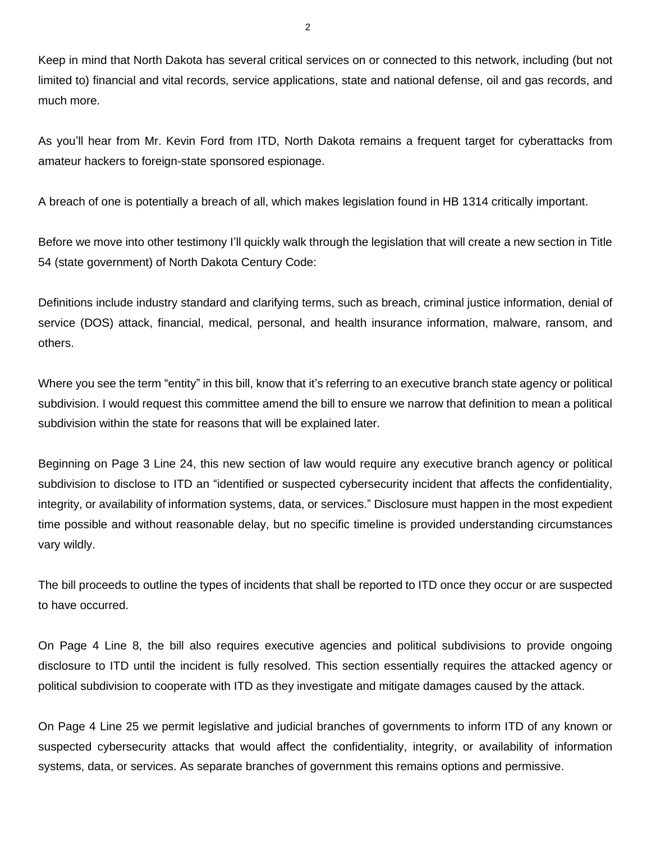Keep in mind that North Dakota has several critical services on or connected to this network, including (but not limited to) financial and vital records, service applications, state and national defense, oil and gas records, and much more.

As you'll hear from Mr. Kevin Ford from ITD, North Dakota remains a frequent target for cyberattacks from amateur hackers to foreign-state sponsored espionage.

A breach of one is potentially a breach of all, which makes legislation found in HB 1314 critically important.

Before we move into other testimony I'll quickly walk through the legislation that will create a new section in Title 54 (state government) of North Dakota Century Code:

Definitions include industry standard and clarifying terms, such as breach, criminal justice information, denial of service (DOS) attack, financial, medical, personal, and health insurance information, malware, ransom, and others.

Where you see the term "entity" in this bill, know that it's referring to an executive branch state agency or political subdivision. I would request this committee amend the bill to ensure we narrow that definition to mean a political subdivision within the state for reasons that will be explained later.

Beginning on Page 3 Line 24, this new section of law would require any executive branch agency or political subdivision to disclose to ITD an "identified or suspected cybersecurity incident that affects the confidentiality, integrity, or availability of information systems, data, or services." Disclosure must happen in the most expedient time possible and without reasonable delay, but no specific timeline is provided understanding circumstances vary wildly.

The bill proceeds to outline the types of incidents that shall be reported to ITD once they occur or are suspected to have occurred.

On Page 4 Line 8, the bill also requires executive agencies and political subdivisions to provide ongoing disclosure to ITD until the incident is fully resolved. This section essentially requires the attacked agency or political subdivision to cooperate with ITD as they investigate and mitigate damages caused by the attack.

On Page 4 Line 25 we permit legislative and judicial branches of governments to inform ITD of any known or suspected cybersecurity attacks that would affect the confidentiality, integrity, or availability of information systems, data, or services. As separate branches of government this remains options and permissive.